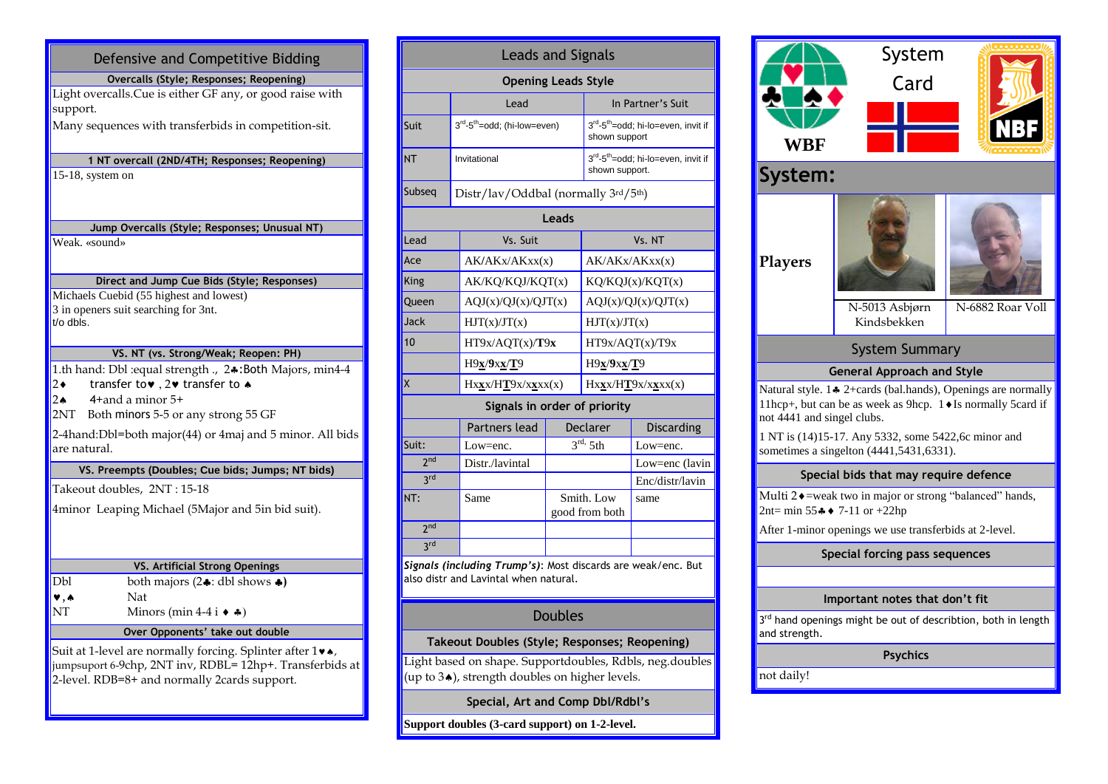| Defensive and Competitive Bidding                                                                                                                                     |  |  |  |  |  |  |
|-----------------------------------------------------------------------------------------------------------------------------------------------------------------------|--|--|--|--|--|--|
| Overcalls (Style; Responses; Reopening)                                                                                                                               |  |  |  |  |  |  |
| Light overcalls. Cue is either GF any, or good raise with<br>support.                                                                                                 |  |  |  |  |  |  |
| Many sequences with transferbids in competition-sit.                                                                                                                  |  |  |  |  |  |  |
| 1 NT overcall (2ND/4TH; Responses; Reopening)                                                                                                                         |  |  |  |  |  |  |
| 15-18, system on                                                                                                                                                      |  |  |  |  |  |  |
| Jump Overcalls (Style; Responses; Unusual NT)                                                                                                                         |  |  |  |  |  |  |
| Weak. «sound»                                                                                                                                                         |  |  |  |  |  |  |
| Direct and Jump Cue Bids (Style; Responses)                                                                                                                           |  |  |  |  |  |  |
| Michaels Cuebid (55 highest and lowest)                                                                                                                               |  |  |  |  |  |  |
| 3 in openers suit searching for 3nt.<br>t/o dbls.                                                                                                                     |  |  |  |  |  |  |
| VS. NT (vs. Strong/Weak; Reopen: PH)                                                                                                                                  |  |  |  |  |  |  |
| 1.th hand: Dbl : equal strength ., 2.: Both Majors, min4-4<br>transfer to v, 2 v transfer to $\star$<br>2◆<br>$2 \triangle$<br>$4+$ and a minor $5+$                  |  |  |  |  |  |  |
| Both minors 5-5 or any strong 55 GF<br>2NT-                                                                                                                           |  |  |  |  |  |  |
| 2-4hand:Dbl=both major(44) or 4maj and 5 minor. All bids<br>are natural.                                                                                              |  |  |  |  |  |  |
| VS. Preempts (Doubles; Cue bids; Jumps; NT bids)                                                                                                                      |  |  |  |  |  |  |
| Takeout doubles, 2NT: 15-18                                                                                                                                           |  |  |  |  |  |  |
| 4minor Leaping Michael (5Major and 5in bid suit).                                                                                                                     |  |  |  |  |  |  |
| VS. Artificial Strong Openings                                                                                                                                        |  |  |  |  |  |  |
| Dbl<br>both majors $(2 \cdot :$ dbl shows $\bullet)$                                                                                                                  |  |  |  |  |  |  |
| $\blacktriangledown$ , $\blacktriangle$<br>Nat                                                                                                                        |  |  |  |  |  |  |
| NΤ<br>Minors (min 4-4 i $\leftrightarrow$ $\clubsuit$ )                                                                                                               |  |  |  |  |  |  |
| Over Opponents' take out double                                                                                                                                       |  |  |  |  |  |  |
| Suit at 1-level are normally forcing. Splinter after 1 v.<br>jumpsuport 6-9chp, 2NT inv, RDBL= 12hp+. Transferbids at<br>2-level. RDB=8+ and normally 2cards support. |  |  |  |  |  |  |

| <b>Leads and Signals</b>                                                                              |                                                                                    |                              |                                                                  |                     |  |  |  |  |  |
|-------------------------------------------------------------------------------------------------------|------------------------------------------------------------------------------------|------------------------------|------------------------------------------------------------------|---------------------|--|--|--|--|--|
| <b>Opening Leads Style</b>                                                                            |                                                                                    |                              |                                                                  |                     |  |  |  |  |  |
|                                                                                                       | Lead                                                                               |                              | In Partner's Suit                                                |                     |  |  |  |  |  |
| Suit                                                                                                  | 3rd-5 <sup>th</sup> =odd; (hi-low=even)                                            |                              | 3rd-5 <sup>th</sup> =odd; hi-lo=even, invit if<br>shown support  |                     |  |  |  |  |  |
| <b>NT</b>                                                                                             | Invitational                                                                       |                              | 3rd-5 <sup>th</sup> =odd; hi-lo=even, invit if<br>shown support. |                     |  |  |  |  |  |
| Subseg                                                                                                | Distr/lav/Oddbal (normally 3rd/5th)                                                |                              |                                                                  |                     |  |  |  |  |  |
| Leads                                                                                                 |                                                                                    |                              |                                                                  |                     |  |  |  |  |  |
| Lead                                                                                                  | Vs. Suit                                                                           |                              | Vs. NT                                                           |                     |  |  |  |  |  |
| Ace                                                                                                   | AK/AKx/AKxx(x)                                                                     |                              | AK/AKx/AKxx(x)                                                   |                     |  |  |  |  |  |
| King                                                                                                  | AK/KQ/KQJ/KQT(x)                                                                   |                              | KQ/KQJ(x)/KQT(x)                                                 |                     |  |  |  |  |  |
| Queen                                                                                                 |                                                                                    | AQJ(x)/QJ(x)/QJT(x)          |                                                                  | AQJ(x)/QJ(x)/QJT(x) |  |  |  |  |  |
| Jack                                                                                                  | HJT(x)/JT(x)                                                                       |                              | HJT(x)/JT(x)                                                     |                     |  |  |  |  |  |
| 10                                                                                                    | HT9x/AQT(x)/T9x                                                                    |                              | HT9x/AQT(x)/T9x                                                  |                     |  |  |  |  |  |
|                                                                                                       | H9x/9xx/T9                                                                         |                              | H9x/9xx/T9                                                       |                     |  |  |  |  |  |
| X                                                                                                     | $Hx\underline{\mathbf{x}}x/H\underline{\mathbf{T}}9x/x\underline{\mathbf{x}}xx(x)$ |                              | Hxxx/HT9x/xxxx(x)                                                |                     |  |  |  |  |  |
|                                                                                                       | Signals in order of priority                                                       |                              |                                                                  |                     |  |  |  |  |  |
|                                                                                                       | Partners lead                                                                      |                              | Declarer                                                         | <b>Discarding</b>   |  |  |  |  |  |
| Suit:                                                                                                 | Low=enc.                                                                           |                              | $3^{\text{rd}}$ , 5th                                            | $Low = enc.$        |  |  |  |  |  |
| 2 <sub>nd</sub>                                                                                       | Distr./lavintal                                                                    |                              |                                                                  | Low=enc (lavin      |  |  |  |  |  |
| 3rd                                                                                                   |                                                                                    |                              |                                                                  | Enc/distr/lavin     |  |  |  |  |  |
| NT:                                                                                                   | Same                                                                               | Smith. Low<br>good from both |                                                                  | same                |  |  |  |  |  |
| 2 <sub>nd</sub>                                                                                       |                                                                                    |                              |                                                                  |                     |  |  |  |  |  |
| 3 <sup>rd</sup>                                                                                       |                                                                                    |                              |                                                                  |                     |  |  |  |  |  |
| Signals (including Trump's): Most discards are weak/enc. But<br>also distr and Lavintal when natural. |                                                                                    |                              |                                                                  |                     |  |  |  |  |  |

## Doubles

## **Takeout Doubles (Style; Responses; Reopening)**

Light based on shape. Supportdoubles, Rdbls, neg.doubles (up to  $3\spadesuit$ ), strength doubles on higher levels.

**Special, Art and Comp Dbl/Rdbl's**

**Support doubles (3-card support) on 1-2-level.**

|                                                                                                                                                            | System                                |                  |  |  |  |  |  |  |  |
|------------------------------------------------------------------------------------------------------------------------------------------------------------|---------------------------------------|------------------|--|--|--|--|--|--|--|
|                                                                                                                                                            | Card                                  |                  |  |  |  |  |  |  |  |
|                                                                                                                                                            |                                       |                  |  |  |  |  |  |  |  |
| WBF                                                                                                                                                        |                                       |                  |  |  |  |  |  |  |  |
| System:                                                                                                                                                    |                                       |                  |  |  |  |  |  |  |  |
| <b>Players</b>                                                                                                                                             | N-5013 Asbjørn                        | N-6882 Roar Voll |  |  |  |  |  |  |  |
|                                                                                                                                                            | Kindsbekken                           |                  |  |  |  |  |  |  |  |
|                                                                                                                                                            | <b>System Summary</b>                 |                  |  |  |  |  |  |  |  |
|                                                                                                                                                            | <b>General Approach and Style</b>     |                  |  |  |  |  |  |  |  |
| Natural style. 14 2+cards (bal.hands), Openings are normally<br>11hcp+, but can be as week as 9hcp. 1 ♦ Is normally 5card if<br>not 4441 and singel clubs. |                                       |                  |  |  |  |  |  |  |  |
| 1 NT is (14)15-17. Any 5332, some 5422,6c minor and<br>sometimes a singelton (4441,5431,6331).                                                             |                                       |                  |  |  |  |  |  |  |  |
|                                                                                                                                                            | Special bids that may require defence |                  |  |  |  |  |  |  |  |
| Multi 2 • = weak two in major or strong "balanced" hands,<br>2nt= min 55 $*$ + 7-11 or +22hp                                                               |                                       |                  |  |  |  |  |  |  |  |
| After 1-minor openings we use transferbids at 2-level.                                                                                                     |                                       |                  |  |  |  |  |  |  |  |
|                                                                                                                                                            | Special forcing pass sequences        |                  |  |  |  |  |  |  |  |
|                                                                                                                                                            |                                       |                  |  |  |  |  |  |  |  |
|                                                                                                                                                            | Important notes that don't fit        |                  |  |  |  |  |  |  |  |
| 3rd hand openings might be out of describtion, both in length<br>and strength.                                                                             |                                       |                  |  |  |  |  |  |  |  |
| <b>Psychics</b>                                                                                                                                            |                                       |                  |  |  |  |  |  |  |  |
| not daily!                                                                                                                                                 |                                       |                  |  |  |  |  |  |  |  |